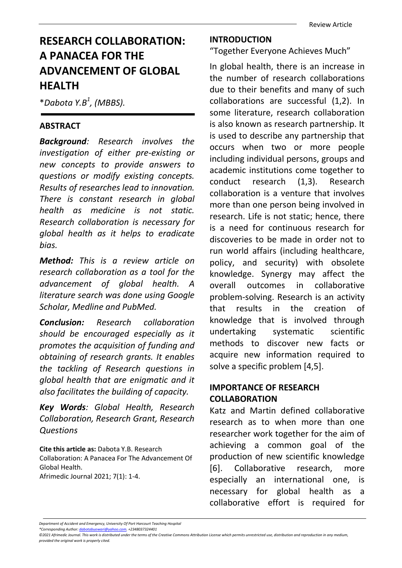# RESEARCH COLLABORATION: A PANACEA FOR THE ADVANCEMENT OF GLOBAL HEALTH

 $*$ Dabota Y.B<sup>1</sup>, (MBBS).

#### ABSTRACT

Background: Research involves the investigation of either pre-existing or new concepts to provide answers to questions or modify existing concepts. Results of researches lead to innovation. There is constant research in global health as medicine is not static. Research collaboration is necessary for global health as it helps to eradicate bias.

Method: This is a review article on research collaboration as a tool for the advancement of global health. A literature search was done using Google Scholar, Medline and PubMed.

Conclusion: Research collaboration should be encouraged especially as it promotes the acquisition of funding and obtaining of research grants. It enables the tackling of Research questions in global health that are enigmatic and it also facilitates the building of capacity.

Key Words: Global Health, Research Collaboration, Research Grant, Research Questions

Cite this article as: Dabota Y.B. Research Collaboration: A Panacea For The Advancement Of Global Health. Afrimedic Journal 2021; 7(1): 1-4.

### INTRODUCTION

"Together Everyone Achieves Much"

In global health, there is an increase in the number of research collaborations due to their benefits and many of such collaborations are successful (1,2). In some literature, research collaboration is also known as research partnership. It is used to describe any partnership that occurs when two or more people including individual persons, groups and academic institutions come together to conduct research (1,3). Research collaboration is a venture that involves more than one person being involved in research. Life is not static; hence, there is a need for continuous research for discoveries to be made in order not to run world affairs (including healthcare, policy, and security) with obsolete knowledge. Synergy may affect the overall outcomes in collaborative problem-solving. Research is an activity that results in the creation of knowledge that is involved through undertaking systematic scientific methods to discover new facts or acquire new information required to solve a specific problem [4,5].

## IMPORTANCE OF RESEARCH **COLLABORATION**

Katz and Martin defined collaborative research as to when more than one researcher work together for the aim of achieving a common goal of the production of new scientific knowledge [6]. Collaborative research, more especially an international one, is necessary for global health as a collaborative effort is required for

Department of Accident and Emergency, University Of Port Harcourt Teaching Hospital

<sup>\*</sup>Corresponding Author: dabotabuowari@yahoo.com. +2348037324401

<sup>©2021</sup> Afrimedic Journal. This work is distributed under the terms of the Creative Commons Attribution License which permits unrestricted use, distribution and reproduction in any medium, provided the original work is properly cited.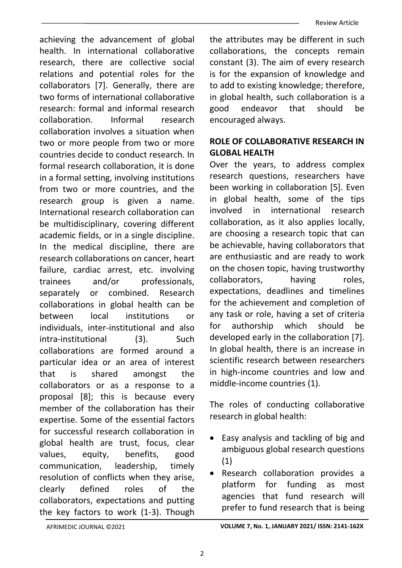achieving the advancement of global health. In international collaborative research, there are collective social relations and potential roles for the collaborators [7]. Generally, there are two forms of international collaborative research: formal and informal research collaboration. Informal research collaboration involves a situation when two or more people from two or more countries decide to conduct research. In formal research collaboration, it is done in a formal setting, involving institutions from two or more countries, and the research group is given a name. International research collaboration can be multidisciplinary, covering different academic fields, or in a single discipline. In the medical discipline, there are research collaborations on cancer, heart failure, cardiac arrest, etc. involving trainees and/or professionals. separately or combined. Research collaborations in global health can be between local institutions or individuals, inter-institutional and also intra-institutional (3). Such collaborations are formed around a particular idea or an area of interest that is shared amongst the collaborators or as a response to a proposal [8]; this is because every member of the collaboration has their expertise. Some of the essential factors for successful research collaboration in global health are trust, focus, clear values, equity, benefits, good communication, leadership, timely resolution of conflicts when they arise, clearly defined roles of the collaborators, expectations and putting the key factors to work (1-3). Though

the attributes may be different in such collaborations, the concepts remain constant (3). The aim of every research is for the expansion of knowledge and to add to existing knowledge; therefore, in global health, such collaboration is a good endeavor that should be encouraged always.

## ROLE OF COLLABORATIVE RESEARCH IN GLOBAL HEALTH

Over the years, to address complex research questions, researchers have been working in collaboration [5]. Even in global health, some of the tips involved in international research collaboration, as it also applies locally, are choosing a research topic that can be achievable, having collaborators that are enthusiastic and are ready to work on the chosen topic, having trustworthy collaborators, having roles, expectations, deadlines and timelines for the achievement and completion of any task or role, having a set of criteria for authorship which should be developed early in the collaboration [7]. In global health, there is an increase in scientific research between researchers in high-income countries and low and middle-income countries (1).

The roles of conducting collaborative research in global health:

- Easy analysis and tackling of big and ambiguous global research questions (1)
- Research collaboration provides a platform for funding as most agencies that fund research will prefer to fund research that is being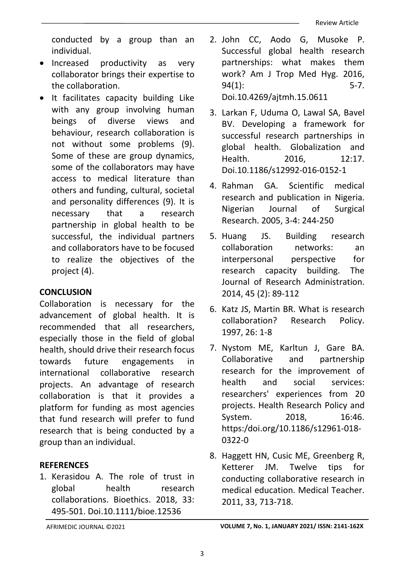conducted by a group than an individual.

- Increased productivity as very collaborator brings their expertise to the collaboration.
- It facilitates capacity building Like with any group involving human beings of diverse views and behaviour, research collaboration is not without some problems (9). Some of these are group dynamics, some of the collaborators may have access to medical literature than others and funding, cultural, societal and personality differences (9). It is necessary that a research partnership in global health to be successful, the individual partners and collaborators have to be focused to realize the objectives of the project (4).

### **CONCLUSION**

Collaboration is necessary for the advancement of global health. It is recommended that all researchers, especially those in the field of global health, should drive their research focus towards future engagements in international collaborative research projects. An advantage of research collaboration is that it provides a platform for funding as most agencies that fund research will prefer to fund research that is being conducted by a group than an individual.

## **REFERENCES**

1. Kerasidou A. The role of trust in global health research collaborations. Bioethics. 2018, 33: 495-501. Doi.10.1111/bioe.12536

- 2. John CC, Aodo G, Musoke P. Successful global health research partnerships: what makes them work? Am J Trop Med Hyg. 2016, 94(1): 5-7. Doi.10.4269/ajtmh.15.0611
- 3. Larkan F, Uduma O, Lawal SA, Bavel BV. Developing a framework for successful research partnerships in global health. Globalization and Health. 2016. 12:17. Doi.10.1186/s12992-016-0152-1
- 4. Rahman GA. Scientific medical research and publication in Nigeria. Nigerian Journal of Surgical Research. 2005, 3-4: 244-250
- 5. Huang JS. Building research collaboration networks: an interpersonal perspective for research capacity building. The Journal of Research Administration. 2014, 45 (2): 89-112
- 6. Katz JS, Martin BR. What is research collaboration? Research Policy. 1997, 26: 1-8
- 7. Nystom ME, Karltun J, Gare BA. Collaborative and partnership research for the improvement of health and social services: researchers' experiences from 20 projects. Health Research Policy and System. 2018. 16:46. https:/doi.org/10.1186/s12961-018- 0322-0
- 8. Haggett HN, Cusic ME, Greenberg R, Ketterer JM. Twelve tips for conducting collaborative research in medical education. Medical Teacher. 2011, 33, 713-718.